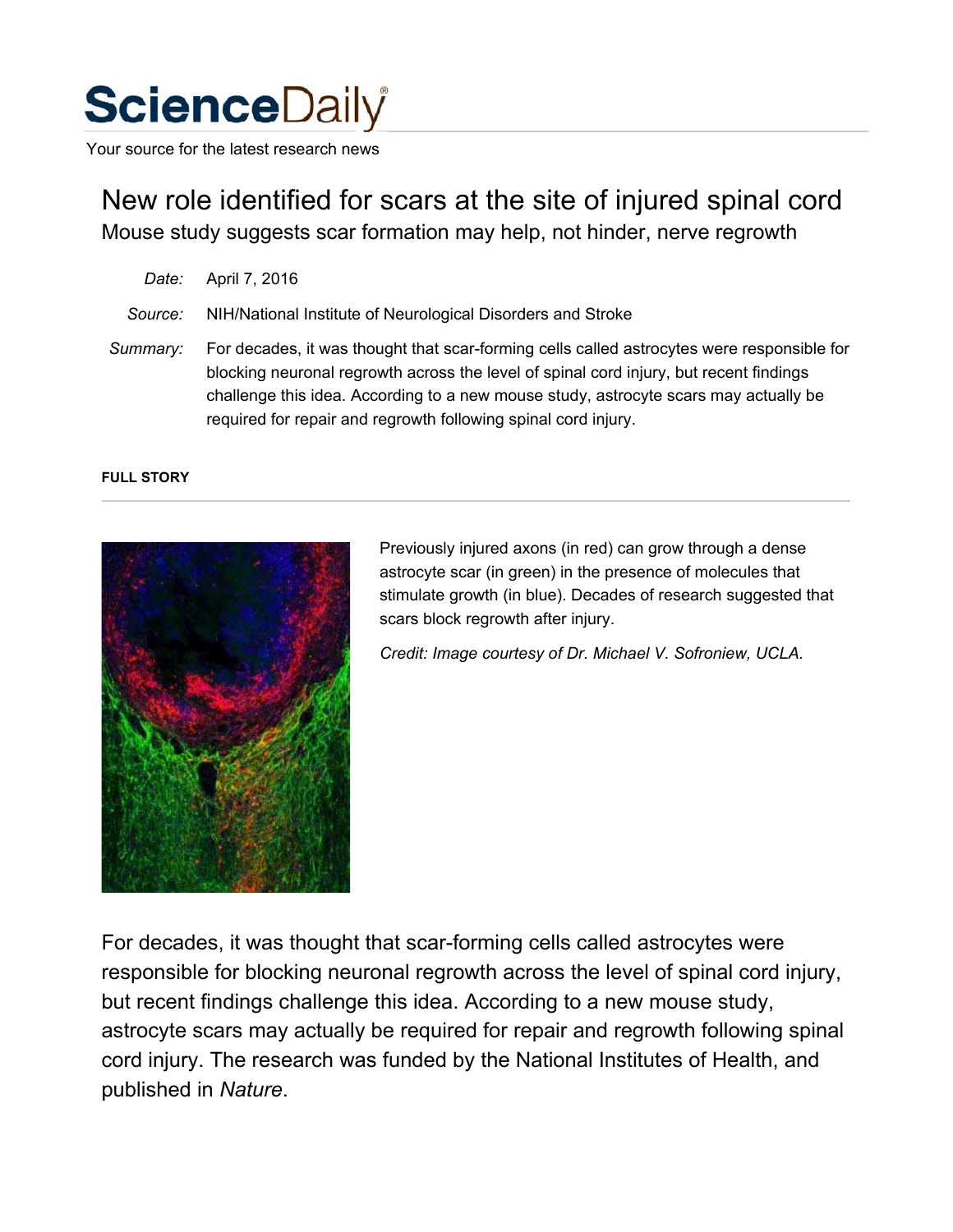## **Science**Daily

Your source for the latest research news

New role identified for scars at the site of injured spinal cord Mouse study suggests scar formation may help, not hinder, nerve regrowth

- *Date:* April 7, 2016
- *Source:* NIH/National Institute of Neurological Disorders and Stroke

*Summary:* For decades, it was thought that scar-forming cells called astrocytes were responsible for blocking neuronal regrowth across the level of spinal cord injury, but recent findings challenge this idea. According to a new mouse study, astrocyte scars may actually be required for repair and regrowth following spinal cord injury.

## **FULL STORY**



Previously injured axons (in red) can grow through a dense astrocyte scar (in green) in the presence of molecules that stimulate growth (in blue). Decades of research suggested that scars block regrowth after injury.

*Credit: Image courtesy of Dr. Michael V. Sofroniew, UCLA.*

For decades, it was thought that scar-forming cells called astrocytes were responsible for blocking neuronal regrowth across the level of spinal cord injury, but recent findings challenge this idea. According to a new mouse study, astrocyte scars may actually be required for repair and regrowth following spinal cord injury. The research was funded by the National Institutes of Health, and published in *Nature*.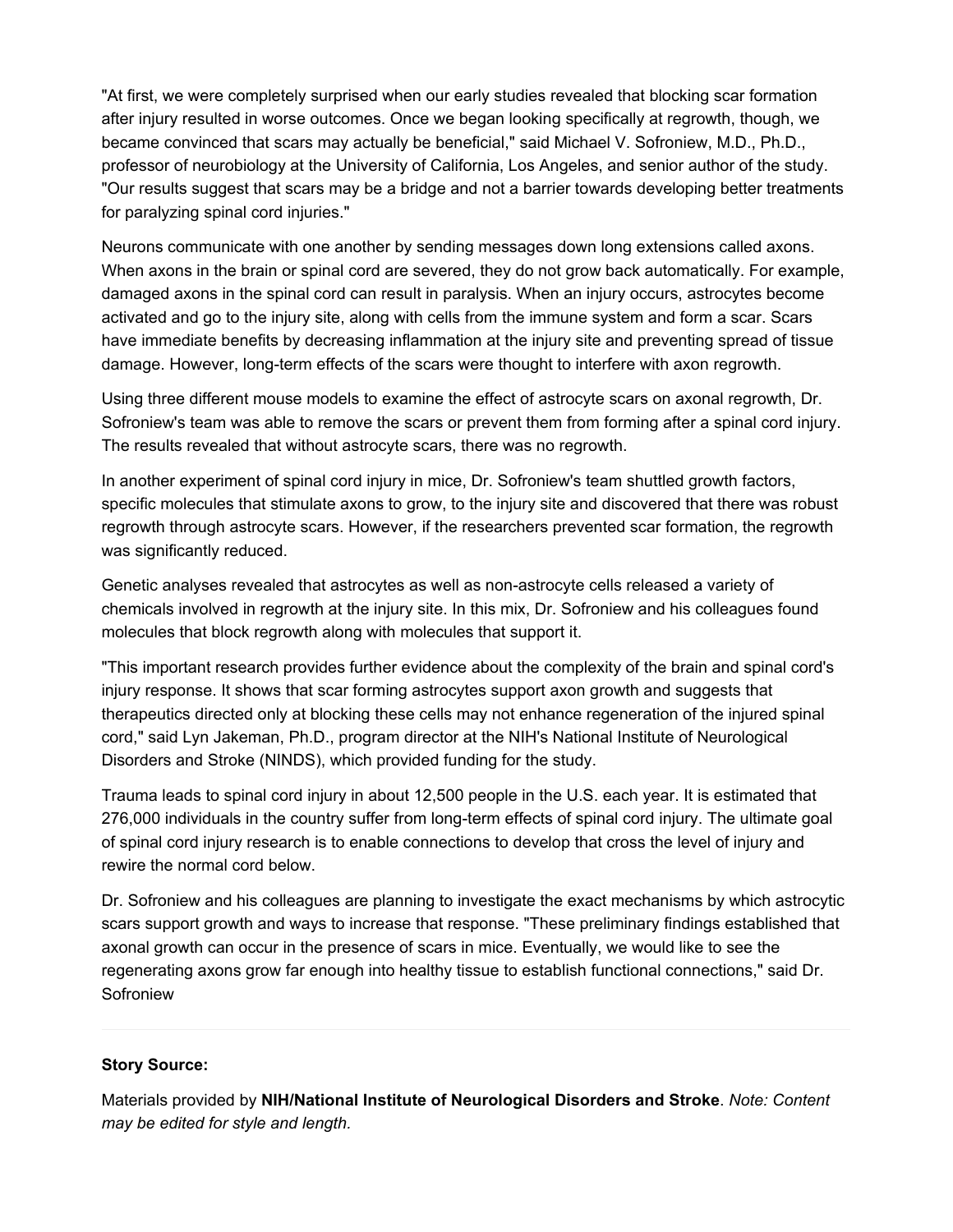"At first, we were completely surprised when our early studies revealed that blocking scar formation after injury resulted in worse outcomes. Once we began looking specifically at regrowth, though, we became convinced that scars may actually be beneficial," said Michael V. Sofroniew, M.D., Ph.D., professor of neurobiology at the University of California, Los Angeles, and senior author of the study. "Our results suggest that scars may be a bridge and not a barrier towards developing better treatments for paralyzing spinal cord injuries."

Neurons communicate with one another by sending messages down long extensions called axons. When axons in the brain or spinal cord are severed, they do not grow back automatically. For example, damaged axons in the spinal cord can result in paralysis. When an injury occurs, astrocytes become activated and go to the injury site, along with cells from the immune system and form a scar. Scars have immediate benefits by decreasing inflammation at the injury site and preventing spread of tissue damage. However, long-term effects of the scars were thought to interfere with axon regrowth.

Using three different mouse models to examine the effect of astrocyte scars on axonal regrowth, Dr. Sofroniew's team was able to remove the scars or prevent them from forming after a spinal cord injury. The results revealed that without astrocyte scars, there was no regrowth.

In another experiment of spinal cord injury in mice, Dr. Sofroniew's team shuttled growth factors, specific molecules that stimulate axons to grow, to the injury site and discovered that there was robust regrowth through astrocyte scars. However, if the researchers prevented scar formation, the regrowth was significantly reduced.

Genetic analyses revealed that astrocytes as well as non-astrocyte cells released a variety of chemicals involved in regrowth at the injury site. In this mix, Dr. Sofroniew and his colleagues found molecules that block regrowth along with molecules that support it.

"This important research provides further evidence about the complexity of the brain and spinal cord's injury response. It shows that scar forming astrocytes support axon growth and suggests that therapeutics directed only at blocking these cells may not enhance regeneration of the injured spinal cord," said Lyn Jakeman, Ph.D., program director at the NIH's National Institute of Neurological Disorders and Stroke (NINDS), which provided funding for the study.

Trauma leads to spinal cord injury in about 12,500 people in the U.S. each year. It is estimated that 276,000 individuals in the country suffer from long-term effects of spinal cord injury. The ultimate goal of spinal cord injury research is to enable connections to develop that cross the level of injury and rewire the normal cord below.

Dr. Sofroniew and his colleagues are planning to investigate the exact mechanisms by which astrocytic scars support growth and ways to increase that response. "These preliminary findings established that axonal growth can occur in the presence of scars in mice. Eventually, we would like to see the regenerating axons grow far enough into healthy tissue to establish functional connections," said Dr. **Sofroniew** 

## **Story Source:**

Materials provided by **NIH/National Institute of Neurological Disorders and Stroke**. *Note: Content may be edited for style and length.*